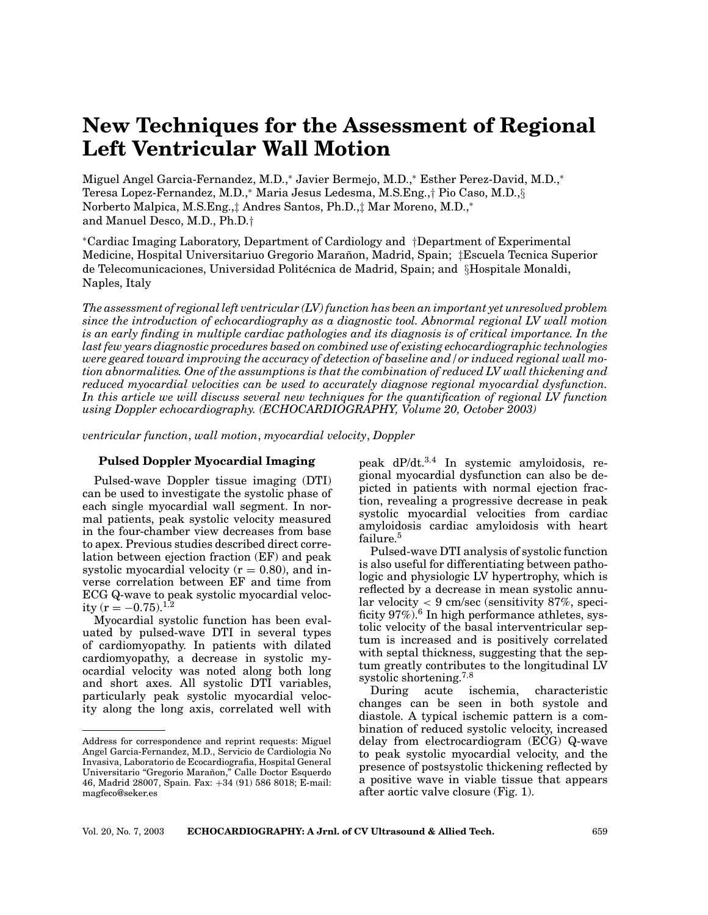# **New Techniques for the Assessment of Regional Left Ventricular Wall Motion**

Miguel Angel Garcia-Fernandez, M.D.,<sup>∗</sup> Javier Bermejo, M.D.,<sup>∗</sup> Esther Perez-David, M.D.,<sup>∗</sup> Teresa Lopez-Fernandez, M.D.,<sup>∗</sup> Maria Jesus Ledesma, M.S.Eng.,† Pio Caso, M.D.,§ Norberto Malpica, M.S.Eng.,‡ Andres Santos, Ph.D.,‡ Mar Moreno, M.D.,<sup>∗</sup> and Manuel Desco, M.D., Ph.D.†

<sup>∗</sup>Cardiac Imaging Laboratory, Department of Cardiology and †Department of Experimental Medicine, Hospital Universitariuo Gregorio Maranon, Madrid, Spain; ˜ ‡Escuela Tecnica Superior de Telecomunicaciones, Universidad Politécnica de Madrid, Spain; and §Hospitale Monaldi, Naples, Italy

*The assessment of regional left ventricular (LV) function has been an important yet unresolved problem since the introduction of echocardiography as a diagnostic tool. Abnormal regional LV wall motion is an early finding in multiple cardiac pathologies and its diagnosis is of critical importance. In the last few years diagnostic procedures based on combined use of existing echocardiographic technologies were geared toward improving the accuracy of detection of baseline and/or induced regional wall motion abnormalities. One of the assumptions is that the combination of reduced LV wall thickening and reduced myocardial velocities can be used to accurately diagnose regional myocardial dysfunction. In this article we will discuss several new techniques for the quantification of regional LV function using Doppler echocardiography. (ECHOCARDIOGRAPHY, Volume 20, October 2003)*

*ventricular function*, *wall motion*, *myocardial velocity*, *Doppler*

# **Pulsed Doppler Myocardial Imaging**

Pulsed-wave Doppler tissue imaging (DTI) can be used to investigate the systolic phase of each single myocardial wall segment. In normal patients, peak systolic velocity measured in the four-chamber view decreases from base to apex. Previous studies described direct correlation between ejection fraction (EF) and peak systolic myocardial velocity  $(r = 0.80)$ , and inverse correlation between EF and time from ECG Q-wave to peak systolic myocardial velocity ( $r = -0.75$ ).<sup>1,2</sup>

Myocardial systolic function has been evaluated by pulsed-wave DTI in several types of cardiomyopathy. In patients with dilated cardiomyopathy, a decrease in systolic myocardial velocity was noted along both long and short axes. All systolic DTI variables, particularly peak systolic myocardial velocity along the long axis, correlated well with peak dP/dt.<sup>3</sup>,<sup>4</sup> In systemic amyloidosis, regional myocardial dysfunction can also be depicted in patients with normal ejection fraction, revealing a progressive decrease in peak systolic myocardial velocities from cardiac amyloidosis cardiac amyloidosis with heart failure.<sup>5</sup>

Pulsed-wave DTI analysis of systolic function is also useful for differentiating between pathologic and physiologic LV hypertrophy, which is reflected by a decrease in mean systolic annular velocity  $<$  9 cm/sec (sensitivity 87%, specificity  $97\%$ .<sup>6</sup> In high performance athletes, systolic velocity of the basal interventricular septum is increased and is positively correlated with septal thickness, suggesting that the septum greatly contributes to the longitudinal LV systolic shortening.<sup>7,8</sup>

During acute ischemia, characteristic changes can be seen in both systole and diastole. A typical ischemic pattern is a combination of reduced systolic velocity, increased delay from electrocardiogram (ECG) Q-wave to peak systolic myocardial velocity, and the presence of postsystolic thickening reflected by a positive wave in viable tissue that appears after aortic valve closure (Fig. 1).

Address for correspondence and reprint requests: Miguel Angel Garcia-Fernandez, M.D., Servicio de Cardiologia No Invasiva, Laboratorio de Ecocardiografia, Hospital General Universitario "Gregorio Marañon," Calle Doctor Esquerdo 46, Madrid 28007, Spain. Fax: +34 (91) 586 8018; E-mail: magfeco@seker.es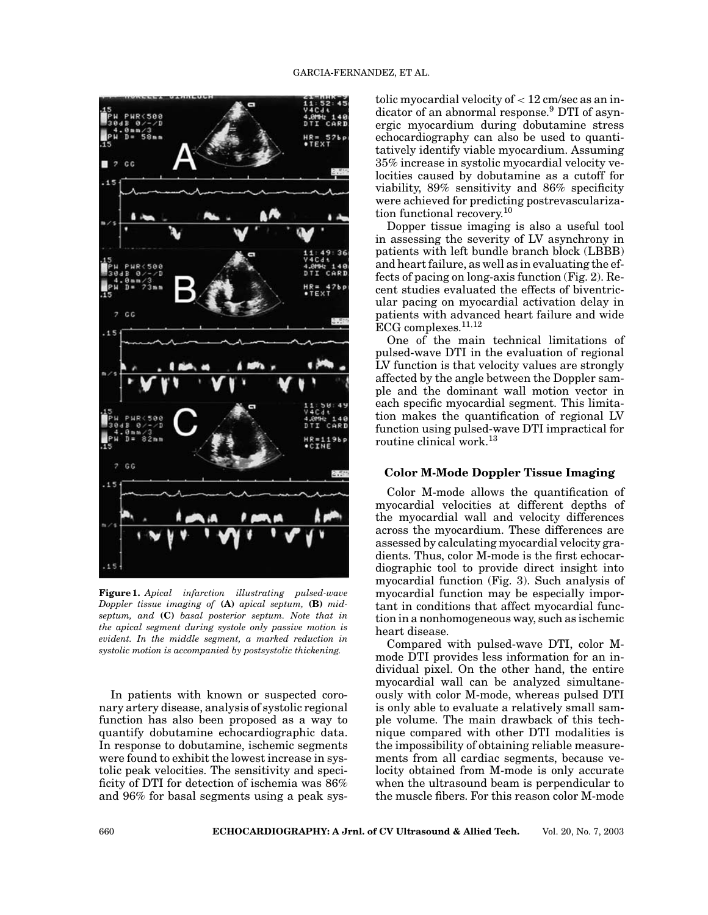

**Figure 1.** *Apical infarction illustrating pulsed-wave Doppler tissue imaging of* **(A)** *apical septum,* **(B)** *midseptum, and* **(C)** *basal posterior septum. Note that in the apical segment during systole only passive motion is evident. In the middle segment, a marked reduction in systolic motion is accompanied by postsystolic thickening.*

In patients with known or suspected coronary artery disease, analysis of systolic regional function has also been proposed as a way to quantify dobutamine echocardiographic data. In response to dobutamine, ischemic segments were found to exhibit the lowest increase in systolic peak velocities. The sensitivity and specificity of DTI for detection of ischemia was 86% and 96% for basal segments using a peak systolic myocardial velocity of  $< 12$  cm/sec as an indicator of an abnormal response.<sup>9</sup> DTI of asynergic myocardium during dobutamine stress echocardiography can also be used to quantitatively identify viable myocardium. Assuming 35% increase in systolic myocardial velocity velocities caused by dobutamine as a cutoff for viability, 89% sensitivity and 86% specificity were achieved for predicting postrevascularization functional recovery.10

Dopper tissue imaging is also a useful tool in assessing the severity of LV asynchrony in patients with left bundle branch block (LBBB) and heart failure, as well as in evaluating the effects of pacing on long-axis function (Fig. 2). Recent studies evaluated the effects of biventricular pacing on myocardial activation delay in patients with advanced heart failure and wide ECG complexes. $11,12$ 

One of the main technical limitations of pulsed-wave DTI in the evaluation of regional LV function is that velocity values are strongly affected by the angle between the Doppler sample and the dominant wall motion vector in each specific myocardial segment. This limitation makes the quantification of regional LV function using pulsed-wave DTI impractical for routine clinical work.<sup>13</sup>

## **Color M-Mode Doppler Tissue Imaging**

Color M-mode allows the quantification of myocardial velocities at different depths of the myocardial wall and velocity differences across the myocardium. These differences are assessed by calculating myocardial velocity gradients. Thus, color M-mode is the first echocardiographic tool to provide direct insight into myocardial function (Fig. 3). Such analysis of myocardial function may be especially important in conditions that affect myocardial function in a nonhomogeneous way, such as ischemic heart disease.

Compared with pulsed-wave DTI, color Mmode DTI provides less information for an individual pixel. On the other hand, the entire myocardial wall can be analyzed simultaneously with color M-mode, whereas pulsed DTI is only able to evaluate a relatively small sample volume. The main drawback of this technique compared with other DTI modalities is the impossibility of obtaining reliable measurements from all cardiac segments, because velocity obtained from M-mode is only accurate when the ultrasound beam is perpendicular to the muscle fibers. For this reason color M-mode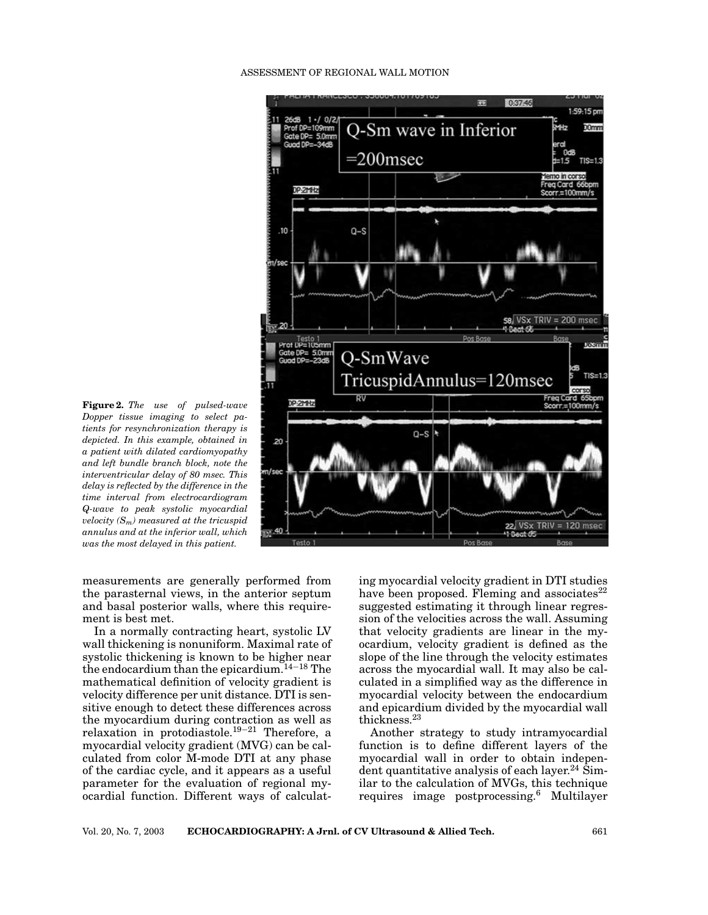#### ASSESSMENT OF REGIONAL WALL MOTION



**Figure 2.** *The use of pulsed-wave Dopper tissue imaging to select patients for resynchronization therapy is depicted. In this example, obtained in a patient with dilated cardiomyopathy and left bundle branch block, note the interventricular delay of 80 msec. This delay is reflected by the difference in the time interval from electrocardiogram Q-wave to peak systolic myocardial velocity (Sm) measured at the tricuspid annulus and at the inferior wall, which was the most delayed in this patient.*

measurements are generally performed from the parasternal views, in the anterior septum and basal posterior walls, where this requirement is best met.

In a normally contracting heart, systolic LV wall thickening is nonuniform. Maximal rate of systolic thickening is known to be higher near the endocardium than the epicardium.<sup>14</sup>−<sup>18</sup> The mathematical definition of velocity gradient is velocity difference per unit distance. DTI is sensitive enough to detect these differences across the myocardium during contraction as well as relaxation in protodiastole.<sup>19</sup>−<sup>21</sup> Therefore, a myocardial velocity gradient (MVG) can be calculated from color M-mode DTI at any phase of the cardiac cycle, and it appears as a useful parameter for the evaluation of regional myocardial function. Different ways of calculating myocardial velocity gradient in DTI studies have been proposed. Fleming and associates $^{22}$ suggested estimating it through linear regression of the velocities across the wall. Assuming that velocity gradients are linear in the myocardium, velocity gradient is defined as the slope of the line through the velocity estimates across the myocardial wall. It may also be calculated in a simplified way as the difference in myocardial velocity between the endocardium and epicardium divided by the myocardial wall thickness.<sup>23</sup>

Another strategy to study intramyocardial function is to define different layers of the myocardial wall in order to obtain independent quantitative analysis of each layer.<sup>24</sup> Similar to the calculation of MVGs, this technique requires image postprocessing.<sup>6</sup> Multilayer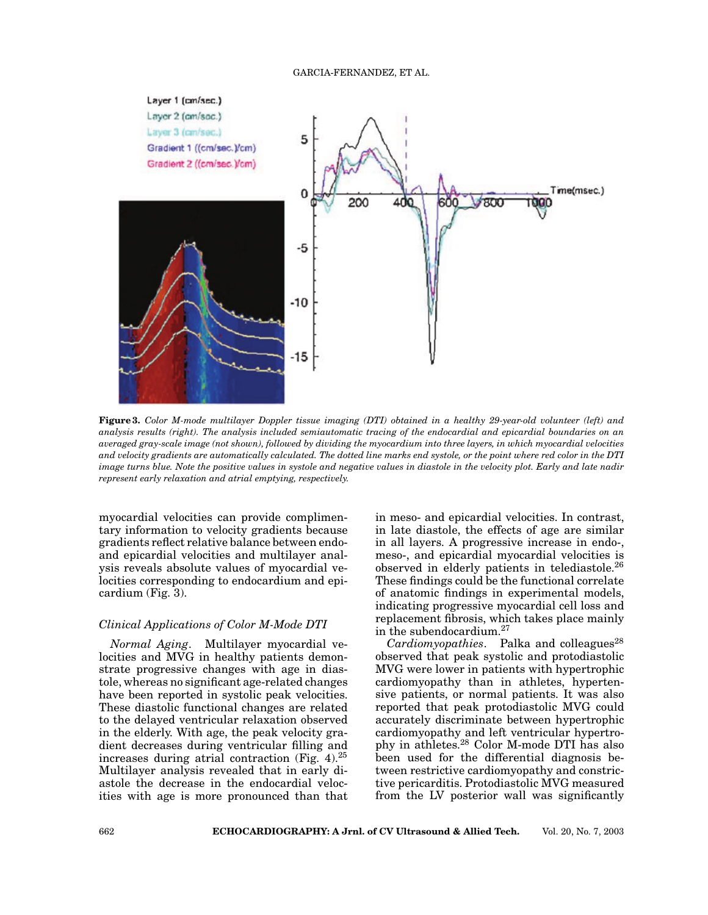

**Figure 3.** *Color M-mode multilayer Doppler tissue imaging (DTI) obtained in a healthy 29-year-old volunteer (left) and analysis results (right). The analysis included semiautomatic tracing of the endocardial and epicardial boundaries on an averaged gray-scale image (not shown), followed by dividing the myocardium into three layers, in which myocardial velocities and velocity gradients are automatically calculated. The dotted line marks end systole, or the point where red color in the DTI image turns blue. Note the positive values in systole and negative values in diastole in the velocity plot. Early and late nadir represent early relaxation and atrial emptying, respectively.*

myocardial velocities can provide complimentary information to velocity gradients because gradients reflect relative balance between endoand epicardial velocities and multilayer analysis reveals absolute values of myocardial velocities corresponding to endocardium and epicardium (Fig. 3).

#### *Clinical Applications of Color M-Mode DTI*

*Normal Aging*. Multilayer myocardial velocities and MVG in healthy patients demonstrate progressive changes with age in diastole, whereas no significant age-related changes have been reported in systolic peak velocities. These diastolic functional changes are related to the delayed ventricular relaxation observed in the elderly. With age, the peak velocity gradient decreases during ventricular filling and increases during atrial contraction (Fig. 4). $^{25}$ Multilayer analysis revealed that in early diastole the decrease in the endocardial velocities with age is more pronounced than that in meso- and epicardial velocities. In contrast, in late diastole, the effects of age are similar in all layers. A progressive increase in endo-, meso-, and epicardial myocardial velocities is observed in elderly patients in telediastole.<sup>26</sup> These findings could be the functional correlate of anatomic findings in experimental models, indicating progressive myocardial cell loss and replacement fibrosis, which takes place mainly in the subendocardium.<sup>27</sup>

*Cardiomyopathies.* Palka and colleagues<sup>28</sup> observed that peak systolic and protodiastolic MVG were lower in patients with hypertrophic cardiomyopathy than in athletes, hypertensive patients, or normal patients. It was also reported that peak protodiastolic MVG could accurately discriminate between hypertrophic cardiomyopathy and left ventricular hypertrophy in athletes.<sup>28</sup> Color M-mode DTI has also been used for the differential diagnosis between restrictive cardiomyopathy and constrictive pericarditis. Protodiastolic MVG measured from the LV posterior wall was significantly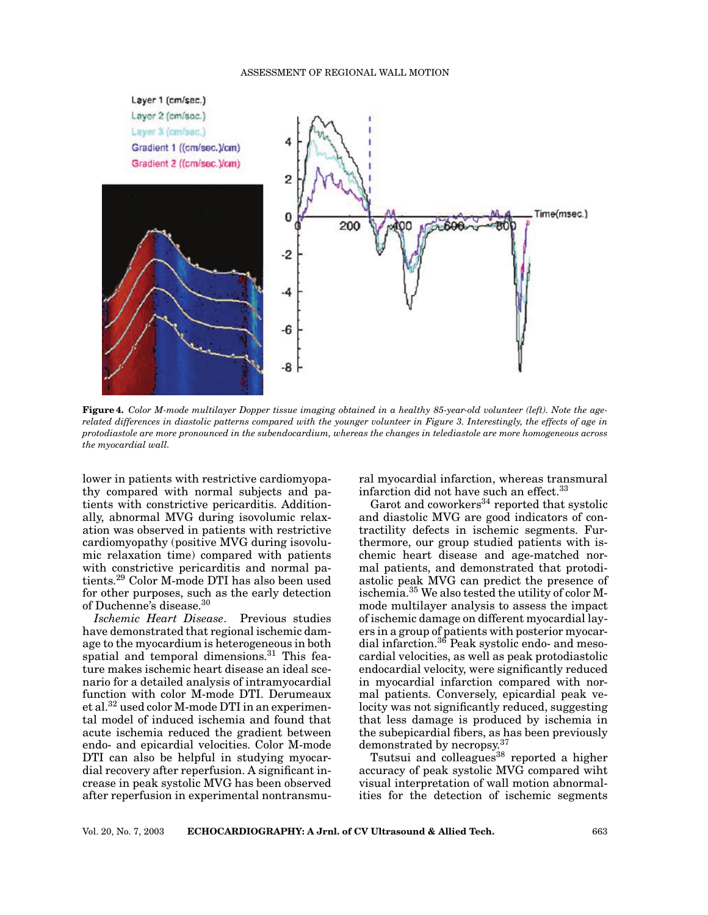

**Figure 4.** *Color M-mode multilayer Dopper tissue imaging obtained in a healthy 85-year-old volunteer (left). Note the agerelated differences in diastolic patterns compared with the younger volunteer in Figure 3. Interestingly, the effects of age in protodiastole are more pronounced in the subendocardium, whereas the changes in telediastole are more homogeneous across the myocardial wall.*

lower in patients with restrictive cardiomyopathy compared with normal subjects and patients with constrictive pericarditis. Additionally, abnormal MVG during isovolumic relaxation was observed in patients with restrictive cardiomyopathy (positive MVG during isovolumic relaxation time) compared with patients with constrictive pericarditis and normal patients.<sup>29</sup> Color M-mode DTI has also been used for other purposes, such as the early detection of Duchenne's disease.<sup>30</sup>

*Ischemic Heart Disease*. Previous studies have demonstrated that regional ischemic damage to the myocardium is heterogeneous in both spatial and temporal dimensions.<sup>31</sup> This feature makes ischemic heart disease an ideal scenario for a detailed analysis of intramyocardial function with color M-mode DTI. Derumeaux et al.32 used color M-mode DTI in an experimental model of induced ischemia and found that acute ischemia reduced the gradient between endo- and epicardial velocities. Color M-mode DTI can also be helpful in studying myocardial recovery after reperfusion. A significant increase in peak systolic MVG has been observed after reperfusion in experimental nontransmural myocardial infarction, whereas transmural infarction did not have such an effect.<sup>33</sup>

Garot and coworkers $34$  reported that systolic and diastolic MVG are good indicators of contractility defects in ischemic segments. Furthermore, our group studied patients with ischemic heart disease and age-matched normal patients, and demonstrated that protodiastolic peak MVG can predict the presence of ischemia.35 We also tested the utility of color Mmode multilayer analysis to assess the impact of ischemic damage on different myocardial layers in a group of patients with posterior myocardial infarction.36 Peak systolic endo- and mesocardial velocities, as well as peak protodiastolic endocardial velocity, were significantly reduced in myocardial infarction compared with normal patients. Conversely, epicardial peak velocity was not significantly reduced, suggesting that less damage is produced by ischemia in the subepicardial fibers, as has been previously demonstrated by necropsy.<sup>37</sup>

Tsutsui and colleagues<sup>38</sup> reported a higher accuracy of peak systolic MVG compared wiht visual interpretation of wall motion abnormalities for the detection of ischemic segments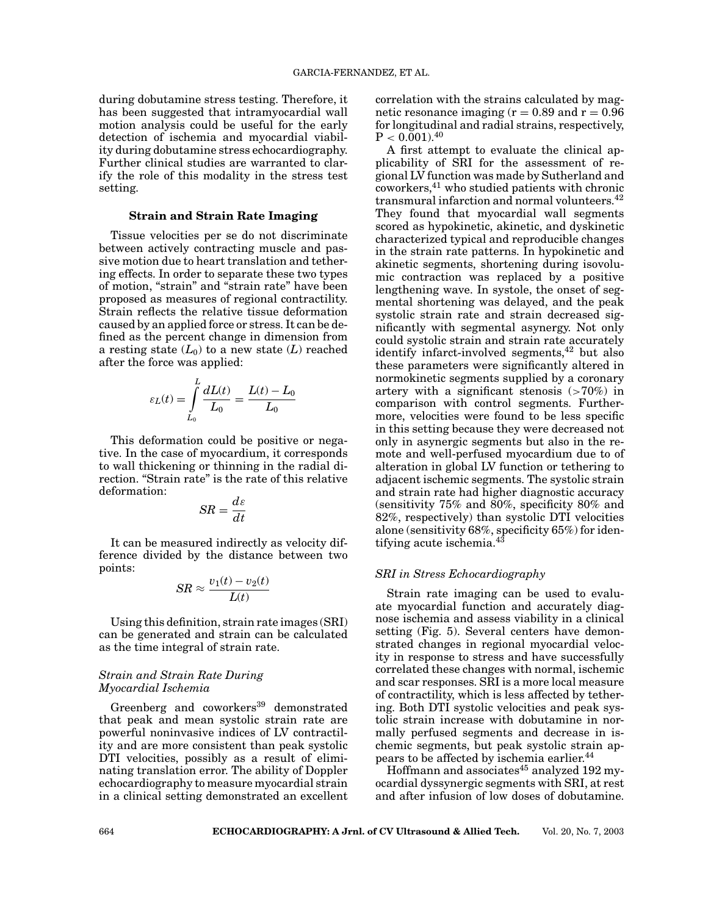during dobutamine stress testing. Therefore, it has been suggested that intramyocardial wall motion analysis could be useful for the early detection of ischemia and myocardial viability during dobutamine stress echocardiography. Further clinical studies are warranted to clarify the role of this modality in the stress test setting.

## **Strain and Strain Rate Imaging**

Tissue velocities per se do not discriminate between actively contracting muscle and passive motion due to heart translation and tethering effects. In order to separate these two types of motion, "strain" and "strain rate" have been proposed as measures of regional contractility. Strain reflects the relative tissue deformation caused by an applied force or stress. It can be defined as the percent change in dimension from a resting state  $(L_0)$  to a new state  $(L)$  reached after the force was applied:

$$
\varepsilon_L(t) = \int_{L_0}^{L} \frac{dL(t)}{L_0} = \frac{L(t) - L_0}{L_0}
$$

This deformation could be positive or negative. In the case of myocardium, it corresponds to wall thickening or thinning in the radial direction. "Strain rate" is the rate of this relative deformation:

$$
SR = \frac{d\varepsilon}{dt}
$$

It can be measured indirectly as velocity difference divided by the distance between two points:

$$
SR \approx \frac{v_1(t) - v_2(t)}{L(t)}
$$

Using this definition, strain rate images (SRI) can be generated and strain can be calculated as the time integral of strain rate.

## *Strain and Strain Rate During Myocardial Ischemia*

Greenberg and coworkers<sup>39</sup> demonstrated that peak and mean systolic strain rate are powerful noninvasive indices of LV contractility and are more consistent than peak systolic DTI velocities, possibly as a result of eliminating translation error. The ability of Doppler echocardiography to measure myocardial strain in a clinical setting demonstrated an excellent correlation with the strains calculated by magnetic resonance imaging  $(r = 0.89$  and  $r = 0.96$ for longitudinal and radial strains, respectively,  $P < 0.001$ .<sup>40</sup>

A first attempt to evaluate the clinical applicability of SRI for the assessment of regional LV function was made by Sutherland and coworkers,<sup>41</sup> who studied patients with chronic transmural infarction and normal volunteers.<sup>42</sup> They found that myocardial wall segments scored as hypokinetic, akinetic, and dyskinetic characterized typical and reproducible changes in the strain rate patterns. In hypokinetic and akinetic segments, shortening during isovolumic contraction was replaced by a positive lengthening wave. In systole, the onset of segmental shortening was delayed, and the peak systolic strain rate and strain decreased significantly with segmental asynergy. Not only could systolic strain and strain rate accurately identify infarct-involved segments,<sup>42</sup> but also these parameters were significantly altered in normokinetic segments supplied by a coronary artery with a significant stenosis  $(>70\%)$  in comparison with control segments. Furthermore, velocities were found to be less specific in this setting because they were decreased not only in asynergic segments but also in the remote and well-perfused myocardium due to of alteration in global LV function or tethering to adjacent ischemic segments. The systolic strain and strain rate had higher diagnostic accuracy (sensitivity 75% and 80%, specificity 80% and 82%, respectively) than systolic DTI velocities alone (sensitivity 68%, specificity 65%) for identifying acute ischemia.<sup>43</sup>

#### *SRI in Stress Echocardiography*

Strain rate imaging can be used to evaluate myocardial function and accurately diagnose ischemia and assess viability in a clinical setting (Fig. 5). Several centers have demonstrated changes in regional myocardial velocity in response to stress and have successfully correlated these changes with normal, ischemic and scar responses. SRI is a more local measure of contractility, which is less affected by tethering. Both DTI systolic velocities and peak systolic strain increase with dobutamine in normally perfused segments and decrease in ischemic segments, but peak systolic strain appears to be affected by ischemia earlier.<sup>44</sup>

Hoffmann and associates $45$  analyzed 192 myocardial dyssynergic segments with SRI, at rest and after infusion of low doses of dobutamine.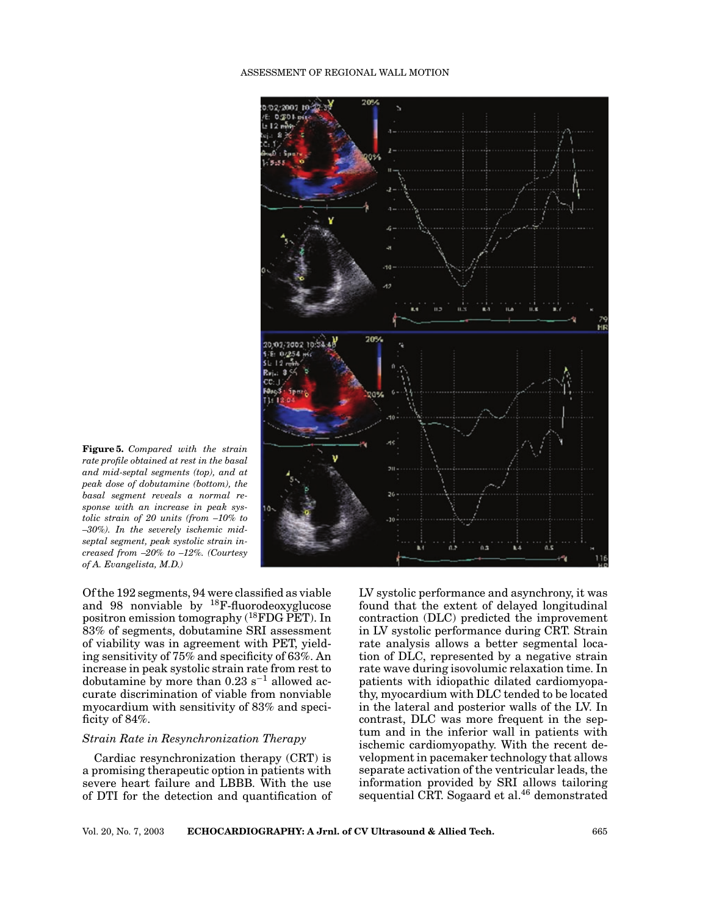#### ASSESSMENT OF REGIONAL WALL MOTION



**Figure 5.** *Compared with the strain rate profile obtained at rest in the basal and mid-septal segments (top), and at peak dose of dobutamine (bottom), the basal segment reveals a normal response with an increase in peak systolic strain of 20 units (from –10% to –30%). In the severely ischemic midseptal segment, peak systolic strain increased from –20% to –12%. (Courtesy of A. Evangelista, M.D.)*

Of the 192 segments, 94 were classified as viable and 98 nonviable by  $^{18}$ F-fluorodeoxyglucose positron emission tomography (18FDG PET). In 83% of segments, dobutamine SRI assessment of viability was in agreement with PET, yielding sensitivity of 75% and specificity of 63%. An increase in peak systolic strain rate from rest to dobutamine by more than  $0.23$  s<sup>-1</sup> allowed accurate discrimination of viable from nonviable myocardium with sensitivity of 83% and specificity of 84%.

# *Strain Rate in Resynchronization Therapy*

Cardiac resynchronization therapy (CRT) is a promising therapeutic option in patients with severe heart failure and LBBB. With the use of DTI for the detection and quantification of LV systolic performance and asynchrony, it was found that the extent of delayed longitudinal contraction (DLC) predicted the improvement in LV systolic performance during CRT. Strain rate analysis allows a better segmental location of DLC, represented by a negative strain rate wave during isovolumic relaxation time. In patients with idiopathic dilated cardiomyopathy, myocardium with DLC tended to be located in the lateral and posterior walls of the LV. In contrast, DLC was more frequent in the septum and in the inferior wall in patients with ischemic cardiomyopathy. With the recent development in pacemaker technology that allows separate activation of the ventricular leads, the information provided by SRI allows tailoring sequential CRT. Sogaard et al.<sup>46</sup> demonstrated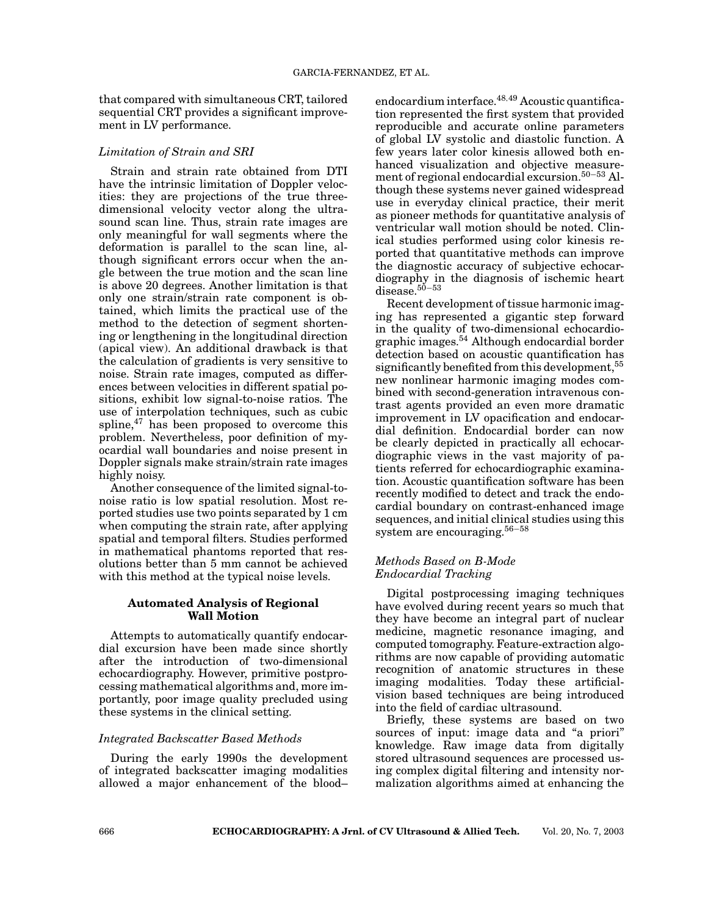that compared with simultaneous CRT, tailored sequential CRT provides a significant improvement in LV performance.

## *Limitation of Strain and SRI*

Strain and strain rate obtained from DTI have the intrinsic limitation of Doppler velocities: they are projections of the true threedimensional velocity vector along the ultrasound scan line. Thus, strain rate images are only meaningful for wall segments where the deformation is parallel to the scan line, although significant errors occur when the angle between the true motion and the scan line is above 20 degrees. Another limitation is that only one strain/strain rate component is obtained, which limits the practical use of the method to the detection of segment shortening or lengthening in the longitudinal direction (apical view). An additional drawback is that the calculation of gradients is very sensitive to noise. Strain rate images, computed as differences between velocities in different spatial positions, exhibit low signal-to-noise ratios. The use of interpolation techniques, such as cubic spline, $47$  has been proposed to overcome this problem. Nevertheless, poor definition of myocardial wall boundaries and noise present in Doppler signals make strain/strain rate images highly noisy.

Another consequence of the limited signal-tonoise ratio is low spatial resolution. Most reported studies use two points separated by 1 cm when computing the strain rate, after applying spatial and temporal filters. Studies performed in mathematical phantoms reported that resolutions better than 5 mm cannot be achieved with this method at the typical noise levels.

## **Automated Analysis of Regional Wall Motion**

Attempts to automatically quantify endocardial excursion have been made since shortly after the introduction of two-dimensional echocardiography. However, primitive postprocessing mathematical algorithms and, more importantly, poor image quality precluded using these systems in the clinical setting.

# *Integrated Backscatter Based Methods*

During the early 1990s the development of integrated backscatter imaging modalities allowed a major enhancement of the blood– endocardium interface.<sup>48,49</sup> Acoustic quantification represented the first system that provided reproducible and accurate online parameters of global LV systolic and diastolic function. A few years later color kinesis allowed both enhanced visualization and objective measurement of regional endocardial excursion.50−<sup>53</sup> Although these systems never gained widespread use in everyday clinical practice, their merit as pioneer methods for quantitative analysis of ventricular wall motion should be noted. Clinical studies performed using color kinesis reported that quantitative methods can improve the diagnostic accuracy of subjective echocardiography in the diagnosis of ischemic heart disease.<sup>50–53</sup>

Recent development of tissue harmonic imaging has represented a gigantic step forward in the quality of two-dimensional echocardiographic images.<sup>54</sup> Although endocardial border detection based on acoustic quantification has significantly benefited from this development,<sup>55</sup> new nonlinear harmonic imaging modes combined with second-generation intravenous contrast agents provided an even more dramatic improvement in LV opacification and endocardial definition. Endocardial border can now be clearly depicted in practically all echocardiographic views in the vast majority of patients referred for echocardiographic examination. Acoustic quantification software has been recently modified to detect and track the endocardial boundary on contrast-enhanced image sequences, and initial clinical studies using this system are encouraging.<sup>56</sup>−<sup>58</sup>

## *Methods Based on B-Mode Endocardial Tracking*

Digital postprocessing imaging techniques have evolved during recent years so much that they have become an integral part of nuclear medicine, magnetic resonance imaging, and computed tomography. Feature-extraction algorithms are now capable of providing automatic recognition of anatomic structures in these imaging modalities. Today these artificialvision based techniques are being introduced into the field of cardiac ultrasound.

Briefly, these systems are based on two sources of input: image data and "a priori" knowledge. Raw image data from digitally stored ultrasound sequences are processed using complex digital filtering and intensity normalization algorithms aimed at enhancing the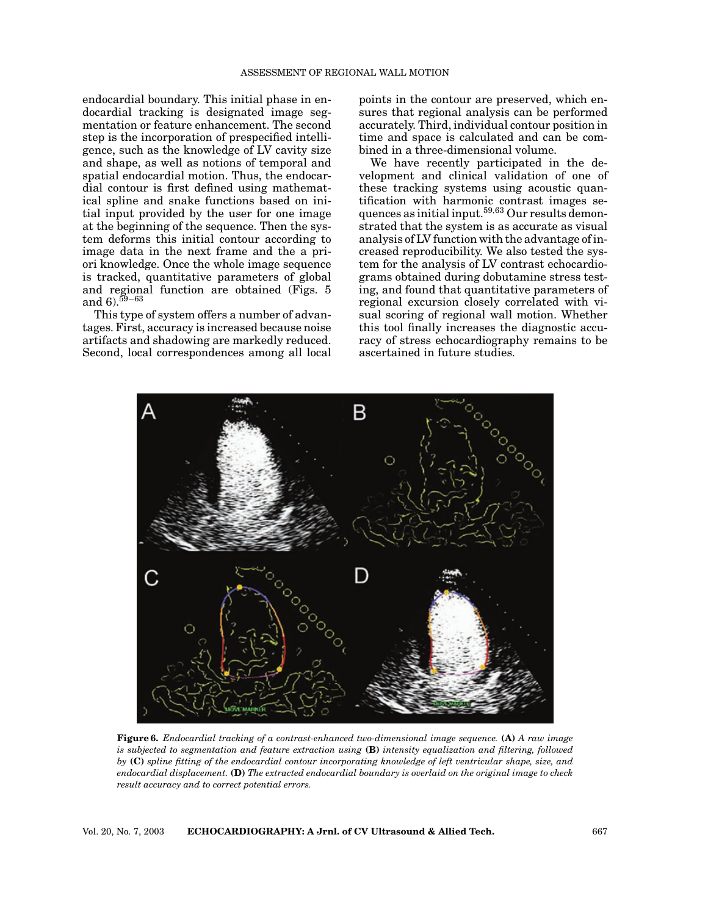endocardial boundary. This initial phase in endocardial tracking is designated image segmentation or feature enhancement. The second step is the incorporation of prespecified intelligence, such as the knowledge of LV cavity size and shape, as well as notions of temporal and spatial endocardial motion. Thus, the endocardial contour is first defined using mathematical spline and snake functions based on initial input provided by the user for one image at the beginning of the sequence. Then the system deforms this initial contour according to image data in the next frame and the a priori knowledge. Once the whole image sequence is tracked, quantitative parameters of global and regional function are obtained (Figs. 5 and 6).<sup> $59-63$ </sup>

This type of system offers a number of advantages. First, accuracy is increased because noise artifacts and shadowing are markedly reduced. Second, local correspondences among all local points in the contour are preserved, which ensures that regional analysis can be performed accurately. Third, individual contour position in time and space is calculated and can be combined in a three-dimensional volume.

We have recently participated in the development and clinical validation of one of these tracking systems using acoustic quantification with harmonic contrast images sequences as initial input.<sup>59,63</sup> Our results demonstrated that the system is as accurate as visual analysis of LV function with the advantage of increased reproducibility. We also tested the system for the analysis of LV contrast echocardiograms obtained during dobutamine stress testing, and found that quantitative parameters of regional excursion closely correlated with visual scoring of regional wall motion. Whether this tool finally increases the diagnostic accuracy of stress echocardiography remains to be ascertained in future studies.



**Figure 6.** *Endocardial tracking of a contrast-enhanced two-dimensional image sequence.* **(A)** *A raw image is subjected to segmentation and feature extraction using* **(B)** *intensity equalization and filtering, followed by* **(C)** *spline fitting of the endocardial contour incorporating knowledge of left ventricular shape, size, and endocardial displacement.* **(D)** *The extracted endocardial boundary is overlaid on the original image to check result accuracy and to correct potential errors.*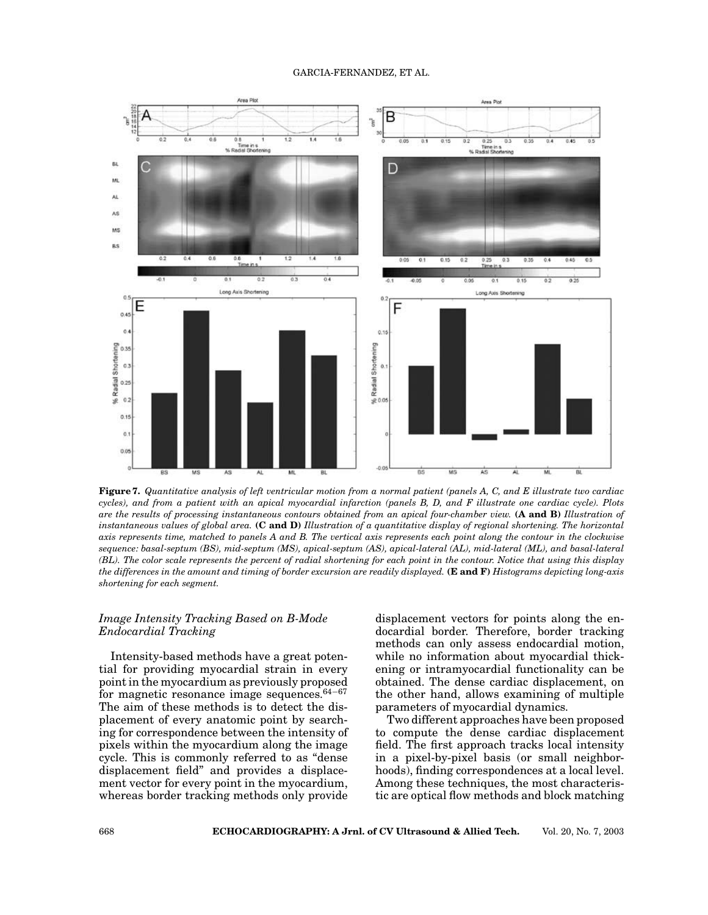#### GARCIA-FERNANDEZ, ET AL.



**Figure 7.** *Quantitative analysis of left ventricular motion from a normal patient (panels A, C, and E illustrate two cardiac cycles), and from a patient with an apical myocardial infarction (panels B, D, and F illustrate one cardiac cycle). Plots are the results of processing instantaneous contours obtained from an apical four-chamber view.* **(A and B)** *Illustration of instantaneous values of global area.* **(C and D)** *Illustration of a quantitative display of regional shortening. The horizontal axis represents time, matched to panels A and B. The vertical axis represents each point along the contour in the clockwise sequence: basal-septum (BS), mid-septum (MS), apical-septum (AS), apical-lateral (AL), mid-lateral (ML), and basal-lateral (BL). The color scale represents the percent of radial shortening for each point in the contour. Notice that using this display the differences in the amount and timing of border excursion are readily displayed.* **(E and F)** *Histograms depicting long-axis shortening for each segment.*

## *Image Intensity Tracking Based on B-Mode Endocardial Tracking*

Intensity-based methods have a great potential for providing myocardial strain in every point in the myocardium as previously proposed for magnetic resonance image sequences.<sup>64</sup>−<sup>67</sup> The aim of these methods is to detect the displacement of every anatomic point by searching for correspondence between the intensity of pixels within the myocardium along the image cycle. This is commonly referred to as "dense displacement field" and provides a displacement vector for every point in the myocardium, whereas border tracking methods only provide

displacement vectors for points along the endocardial border. Therefore, border tracking methods can only assess endocardial motion, while no information about myocardial thickening or intramyocardial functionality can be obtained. The dense cardiac displacement, on the other hand, allows examining of multiple parameters of myocardial dynamics.

Two different approaches have been proposed to compute the dense cardiac displacement field. The first approach tracks local intensity in a pixel-by-pixel basis (or small neighborhoods), finding correspondences at a local level. Among these techniques, the most characteristic are optical flow methods and block matching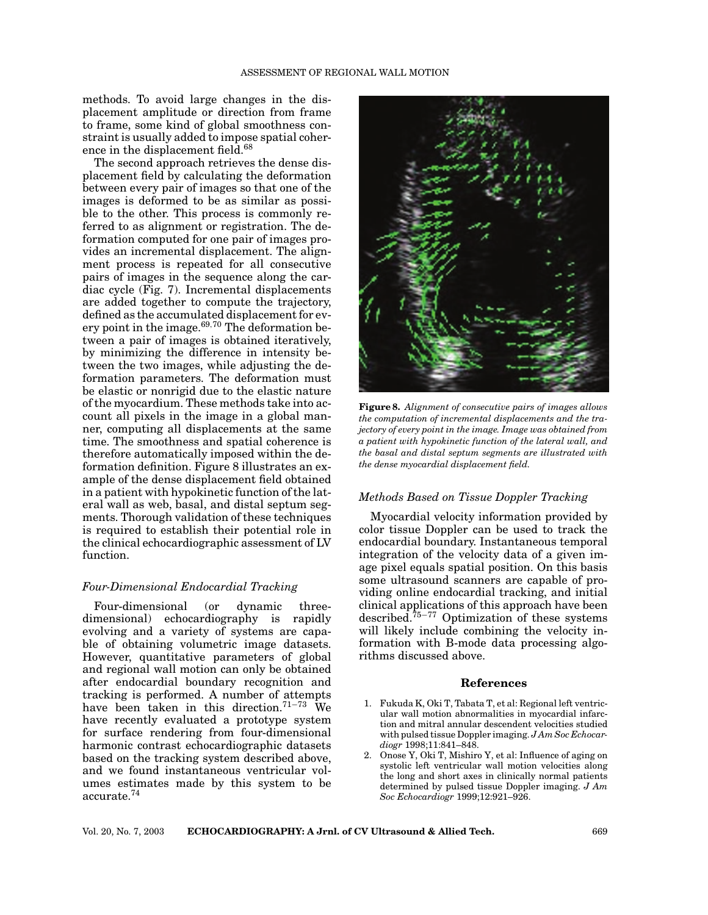methods. To avoid large changes in the displacement amplitude or direction from frame to frame, some kind of global smoothness constraint is usually added to impose spatial coherence in the displacement field.<sup>68</sup>

The second approach retrieves the dense displacement field by calculating the deformation between every pair of images so that one of the images is deformed to be as similar as possible to the other. This process is commonly referred to as alignment or registration. The deformation computed for one pair of images provides an incremental displacement. The alignment process is repeated for all consecutive pairs of images in the sequence along the cardiac cycle (Fig. 7). Incremental displacements are added together to compute the trajectory, defined as the accumulated displacement for every point in the image. $69,70$  The deformation between a pair of images is obtained iteratively, by minimizing the difference in intensity between the two images, while adjusting the deformation parameters. The deformation must be elastic or nonrigid due to the elastic nature of the myocardium. These methods take into account all pixels in the image in a global manner, computing all displacements at the same time. The smoothness and spatial coherence is therefore automatically imposed within the deformation definition. Figure 8 illustrates an example of the dense displacement field obtained in a patient with hypokinetic function of the lateral wall as web, basal, and distal septum segments. Thorough validation of these techniques is required to establish their potential role in the clinical echocardiographic assessment of LV function.

## *Four-Dimensional Endocardial Tracking*

Four-dimensional (or dynamic threedimensional) echocardiography is rapidly evolving and a variety of systems are capable of obtaining volumetric image datasets. However, quantitative parameters of global and regional wall motion can only be obtained after endocardial boundary recognition and tracking is performed. A number of attempts have been taken in this direction.<sup>71</sup>−<sup>73</sup> We have recently evaluated a prototype system for surface rendering from four-dimensional harmonic contrast echocardiographic datasets based on the tracking system described above, and we found instantaneous ventricular volumes estimates made by this system to be accurate.74



**Figure 8.** *Alignment of consecutive pairs of images allows the computation of incremental displacements and the trajectory of every point in the image. Image was obtained from a patient with hypokinetic function of the lateral wall, and the basal and distal septum segments are illustrated with the dense myocardial displacement field.*

## *Methods Based on Tissue Doppler Tracking*

Myocardial velocity information provided by color tissue Doppler can be used to track the endocardial boundary. Instantaneous temporal integration of the velocity data of a given image pixel equals spatial position. On this basis some ultrasound scanners are capable of providing online endocardial tracking, and initial clinical applications of this approach have been described.<sup>75</sup>−<sup>77</sup> Optimization of these systems will likely include combining the velocity information with B-mode data processing algorithms discussed above.

#### **References**

- 1. Fukuda K, Oki T, Tabata T, et al: Regional left ventricular wall motion abnormalities in myocardial infarction and mitral annular descendent velocities studied with pulsed tissue Doppler imaging. *J Am Soc Echocardiogr* 1998;11:841–848.
- 2. Onose Y, Oki T, Mishiro Y, et al: Influence of aging on systolic left ventricular wall motion velocities along the long and short axes in clinically normal patients determined by pulsed tissue Doppler imaging. *J Am Soc Echocardiogr* 1999;12:921–926.

Vol. 20, No. 7, 2003 **ECHOCARDIOGRAPHY: A Jrnl. of CV Ultrasound & Allied Tech.** 669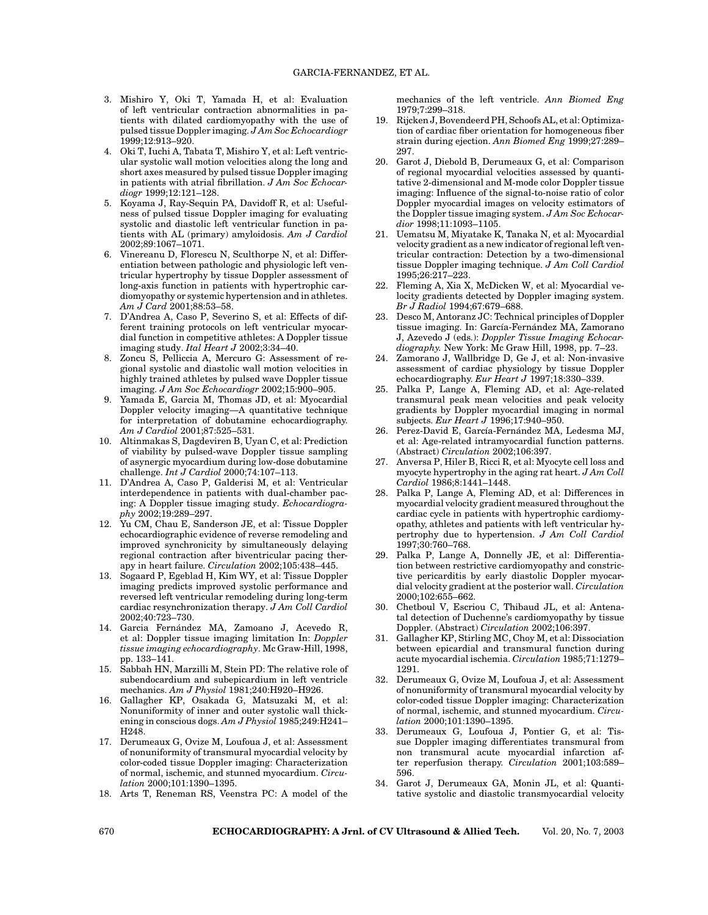- 3. Mishiro Y, Oki T, Yamada H, et al: Evaluation of left ventricular contraction abnormalities in patients with dilated cardiomyopathy with the use of pulsed tissue Doppler imaging. *J Am Soc Echocardiogr* 1999;12:913–920.
- 4. Oki T, Iuchi A, Tabata T, Mishiro Y, et al: Left ventricular systolic wall motion velocities along the long and short axes measured by pulsed tissue Doppler imaging in patients with atrial fibrillation. *J Am Soc Echocardiogr* 1999;12:121–128.
- 5. Koyama J, Ray-Sequin PA, Davidoff R, et al: Usefulness of pulsed tissue Doppler imaging for evaluating systolic and diastolic left ventricular function in patients with AL (primary) amyloidosis. *Am J Cardiol* 2002;89:1067–1071.
- 6. Vinereanu D, Florescu N, Sculthorpe N, et al: Differentiation between pathologic and physiologic left ventricular hypertrophy by tissue Doppler assessment of long-axis function in patients with hypertrophic cardiomyopathy or systemic hypertension and in athletes. *Am J Card* 2001;88:53–58.
- 7. D'Andrea A, Caso P, Severino S, et al: Effects of different training protocols on left ventricular myocardial function in competitive athletes: A Doppler tissue imaging study. *Ital Heart J* 2002;3:34–40.
- 8. Zoncu S, Pelliccia A, Mercuro G: Assessment of regional systolic and diastolic wall motion velocities in highly trained athletes by pulsed wave Doppler tissue imaging. *J Am Soc Echocardiogr* 2002;15:900–905.
- Yamada E, Garcia M, Thomas JD, et al: Myocardial Doppler velocity imaging—A quantitative technique for interpretation of dobutamine echocardiography. *Am J Cardiol* 2001;87:525–531.
- 10. Altinmakas S, Dagdeviren B, Uyan C, et al: Prediction of viability by pulsed-wave Doppler tissue sampling of asynergic myocardium during low-dose dobutamine challenge. *Int J Cardiol* 2000;74:107–113.
- 11. D'Andrea A, Caso P, Galderisi M, et al: Ventricular interdependence in patients with dual-chamber pacing: A Doppler tissue imaging study. *Echocardiography* 2002;19:289–297.
- 12. Yu CM, Chau E, Sanderson JE, et al: Tissue Doppler echocardiographic evidence of reverse remodeling and improved synchronicity by simultaneously delaying regional contraction after biventricular pacing therapy in heart failure. *Circulation* 2002;105:438–445.
- 13. Sogaard P, Egeblad H, Kim WY, et al: Tissue Doppler imaging predicts improved systolic performance and reversed left ventricular remodeling during long-term cardiac resynchronization therapy. *J Am Coll Cardiol* 2002;40:723–730.
- 14. Garcia Fernández MA, Zamoano J, Acevedo R, et al: Doppler tissue imaging limitation In: *Doppler tissue imaging echocardiography*. Mc Graw-Hill, 1998, pp. 133–141.
- 15. Sabbah HN, Marzilli M, Stein PD: The relative role of subendocardium and subepicardium in left ventricle mechanics. *Am J Physiol* 1981;240:H920–H926.
- 16. Gallagher KP, Osakada G, Matsuzaki M, et al: Nonuniformity of inner and outer systolic wall thickening in conscious dogs. *Am J Physiol* 1985;249:H241– H248.
- 17. Derumeaux G, Ovize M, Loufoua J, et al: Assessment of nonuniformity of transmural myocardial velocity by color-coded tissue Doppler imaging: Characterization of normal, ischemic, and stunned myocardium. *Circulation* 2000;101:1390–1395.
- 18. Arts T, Reneman RS, Veenstra PC: A model of the

mechanics of the left ventricle. *Ann Biomed Eng* 1979;7:299–318.

- 19. Rijcken J, Bovendeerd PH, Schoofs AL, et al: Optimization of cardiac fiber orientation for homogeneous fiber strain during ejection. *Ann Biomed Eng* 1999;27:289– 297.
- 20. Garot J, Diebold B, Derumeaux G, et al: Comparison of regional myocardial velocities assessed by quantitative 2-dimensional and M-mode color Doppler tissue imaging: Influence of the signal-to-noise ratio of color Doppler myocardial images on velocity estimators of the Doppler tissue imaging system. *J Am Soc Echocardior* 1998;11:1093–1105.
- 21. Uematsu M, Miyatake K, Tanaka N, et al: Myocardial velocity gradient as a new indicator of regional left ventricular contraction: Detection by a two-dimensional tissue Doppler imaging technique. *J Am Coll Cardiol* 1995;26:217–223.
- 22. Fleming A, Xia X, McDicken W, et al: Myocardial velocity gradients detected by Doppler imaging system. *Br J Radiol* 1994;67:679–688.
- 23. Desco M, Antoranz JC: Technical principles of Doppler tissue imaging. In: García-Fernández MA, Zamorano J, Azevedo J (eds.): *Doppler Tissue Imaging Echocardiography.* New York: Mc Graw Hill, 1998, pp. 7–23.
- 24. Zamorano J, Wallbridge D, Ge J, et al: Non-invasive assessment of cardiac physiology by tissue Doppler echocardiography. *Eur Heart J* 1997;18:330–339.
- 25. Palka P, Lange A, Fleming AD, et al: Age-related transmural peak mean velocities and peak velocity gradients by Doppler myocardial imaging in normal subjects. *Eur Heart J* 1996;17:940–950.
- 26. Perez-David E, García-Fernández MA, Ledesma MJ, et al: Age-related intramyocardial function patterns. (Abstract) *Circulation* 2002;106:397.
- 27. Anversa P, Hiler B, Ricci R, et al: Myocyte cell loss and myocyte hypertrophy in the aging rat heart. *J Am Coll Cardiol* 1986;8:1441–1448.
- 28. Palka P, Lange A, Fleming AD, et al: Differences in myocardial velocity gradient measured throughout the cardiac cycle in patients with hypertrophic cardiomyopathy, athletes and patients with left ventricular hypertrophy due to hypertension. *J Am Coll Cardiol* 1997;30:760–768.
- 29. Palka P, Lange A, Donnelly JE, et al: Differentiation between restrictive cardiomyopathy and constrictive pericarditis by early diastolic Doppler myocardial velocity gradient at the posterior wall. *Circulation* 2000;102:655–662.
- 30. Chetboul V, Escriou C, Thibaud JL, et al: Antenatal detection of Duchenne's cardiomyopathy by tissue Doppler. (Abstract) *Circulation* 2002;106:397.
- 31. Gallagher KP, Stirling MC, Choy M, et al: Dissociation between epicardial and transmural function during acute myocardial ischemia. *Circulation* 1985;71:1279– 1291.
- 32. Derumeaux G, Ovize M, Loufoua J, et al: Assessment of nonuniformity of transmural myocardial velocity by color-coded tissue Doppler imaging: Characterization of normal, ischemic, and stunned myocardium. *Circulation* 2000;101:1390–1395.
- 33. Derumeaux G, Loufoua J, Pontier G, et al: Tissue Doppler imaging differentiates transmural from non transmural acute myocardial infarction after reperfusion therapy. *Circulation* 2001;103:589– 596.
- 34. Garot J, Derumeaux GA, Monin JL, et al: Quantitative systolic and diastolic transmyocardial velocity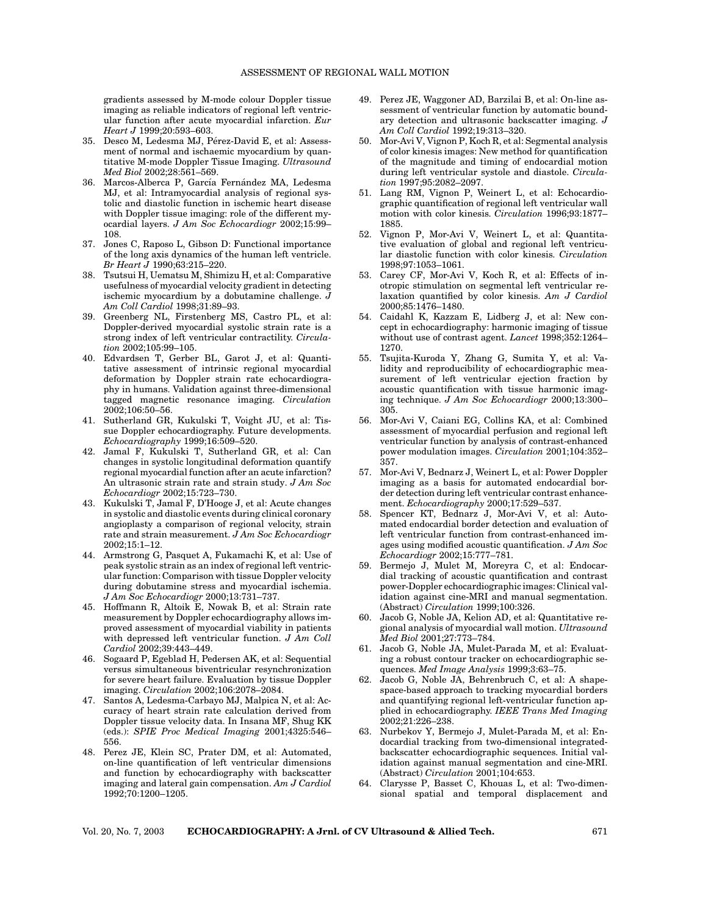gradients assessed by M-mode colour Doppler tissue imaging as reliable indicators of regional left ventricular function after acute myocardial infarction. *Eur Heart J* 1999;20:593–603.

- 35. Desco M, Ledesma MJ, Pérez-David E, et al: Assessment of normal and ischaemic myocardium by quantitative M-mode Doppler Tissue Imaging. *Ultrasound Med Biol* 2002;28:561–569.
- 36. Marcos-Alberca P, García Fernández MA, Ledesma MJ, et al: Intramyocardial analysis of regional systolic and diastolic function in ischemic heart disease with Doppler tissue imaging: role of the different myocardial layers. *J Am Soc Echocardiogr* 2002;15:99– 108.
- 37. Jones C, Raposo L, Gibson D: Functional importance of the long axis dynamics of the human left ventricle. *Br Heart J* 1990;63:215–220.
- 38. Tsutsui H, Uematsu M, Shimizu H, et al: Comparative usefulness of myocardial velocity gradient in detecting ischemic myocardium by a dobutamine challenge. *J Am Coll Cardiol* 1998;31:89–93.
- 39. Greenberg NL, Firstenberg MS, Castro PL, et al: Doppler-derived myocardial systolic strain rate is a strong index of left ventricular contractility. *Circulation* 2002;105:99–105.
- 40. Edvardsen T, Gerber BL, Garot J, et al: Quantitative assessment of intrinsic regional myocardial deformation by Doppler strain rate echocardiography in humans. Validation against three-dimensional tagged magnetic resonance imaging. *Circulation* 2002;106:50–56.
- 41. Sutherland GR, Kukulski T, Voight JU, et al: Tissue Doppler echocardiography. Future developments. *Echocardiography* 1999;16:509–520.
- 42. Jamal F, Kukulski T, Sutherland GR, et al: Can changes in systolic longitudinal deformation quantify regional myocardial function after an acute infarction? An ultrasonic strain rate and strain study. *J Am Soc Echocardiogr* 2002;15:723–730.
- 43. Kukulski T, Jamal F, D'Hooge J, et al: Acute changes in systolic and diastolic events during clinical coronary angioplasty a comparison of regional velocity, strain rate and strain measurement. *J Am Soc Echocardiogr* 2002;15:1–12.
- 44. Armstrong G, Pasquet A, Fukamachi K, et al: Use of peak systolic strain as an index of regional left ventricular function: Comparison with tissue Doppler velocity during dobutamine stress and myocardial ischemia. *J Am Soc Echocardiogr* 2000;13:731–737.
- 45. Hoffmann R, Altoik E, Nowak B, et al: Strain rate measurement by Doppler echocardiography allows improved assessment of myocardial viability in patients with depressed left ventricular function. *J Am Coll Cardiol* 2002;39:443–449.
- 46. Sogaard P, Egeblad H, Pedersen AK, et al: Sequential versus simultaneous biventricular resynchronization for severe heart failure. Evaluation by tissue Doppler imaging. *Circulation* 2002;106:2078–2084.
- 47. Santos A, Ledesma-Carbayo MJ, Malpica N, et al: Accuracy of heart strain rate calculation derived from Doppler tissue velocity data. In Insana MF, Shug KK (eds.): *SPIE Proc Medical Imaging* 2001;4325:546– 556.
- 48. Perez JE, Klein SC, Prater DM, et al: Automated, on-line quantification of left ventricular dimensions and function by echocardiography with backscatter imaging and lateral gain compensation. *Am J Cardiol* 1992;70:1200–1205.
- 49. Perez JE, Waggoner AD, Barzilai B, et al: On-line assessment of ventricular function by automatic boundary detection and ultrasonic backscatter imaging. *J Am Coll Cardiol* 1992;19:313–320.
- 50. Mor-Avi V, Vignon P, Koch R, et al: Segmental analysis of color kinesis images: New method for quantification of the magnitude and timing of endocardial motion during left ventricular systole and diastole. *Circulation* 1997;95:2082–2097.
- 51. Lang RM, Vignon P, Weinert L, et al: Echocardiographic quantification of regional left ventricular wall motion with color kinesis. *Circulation* 1996;93:1877– 1885.
- 52. Vignon P, Mor-Avi V, Weinert L, et al: Quantitative evaluation of global and regional left ventricular diastolic function with color kinesis. *Circulation* 1998;97:1053–1061.
- 53. Carey CF, Mor-Avi V, Koch R, et al: Effects of inotropic stimulation on segmental left ventricular relaxation quantified by color kinesis. *Am J Cardiol* 2000;85:1476–1480.
- 54. Caidahl K, Kazzam E, Lidberg J, et al: New concept in echocardiography: harmonic imaging of tissue without use of contrast agent. *Lancet* 1998;352:1264– 1270.
- 55. Tsujita-Kuroda Y, Zhang G, Sumita Y, et al: Validity and reproducibility of echocardiographic measurement of left ventricular ejection fraction by acoustic quantification with tissue harmonic imaging technique. *J Am Soc Echocardiogr* 2000;13:300– 305.
- 56. Mor-Avi V, Caiani EG, Collins KA, et al: Combined assessment of myocardial perfusion and regional left ventricular function by analysis of contrast-enhanced power modulation images. *Circulation* 2001;104:352– 357.
- 57. Mor-Avi V, Bednarz J, Weinert L, et al: Power Doppler imaging as a basis for automated endocardial border detection during left ventricular contrast enhancement. *Echocardiography* 2000;17:529–537.
- 58. Spencer KT, Bednarz J, Mor-Avi V, et al: Automated endocardial border detection and evaluation of left ventricular function from contrast-enhanced images using modified acoustic quantification. *J Am Soc Echocardiogr* 2002;15:777–781.
- 59. Bermejo J, Mulet M, Moreyra C, et al: Endocardial tracking of acoustic quantification and contrast power-Doppler echocardiographic images: Clinical validation against cine-MRI and manual segmentation. (Abstract) *Circulation* 1999;100:326.
- 60. Jacob G, Noble JA, Kelion AD, et al: Quantitative regional analysis of myocardial wall motion. *Ultrasound Med Biol* 2001;27:773–784.
- 61. Jacob G, Noble JA, Mulet-Parada M, et al: Evaluating a robust contour tracker on echocardiographic sequences. *Med Image Analysis* 1999;3:63–75.
- 62. Jacob G, Noble JA, Behrenbruch C, et al: A shapespace-based approach to tracking myocardial borders and quantifying regional left-ventricular function applied in echocardiography. *IEEE Trans Med Imaging* 2002;21:226–238.
- 63. Nurbekov Y, Bermejo J, Mulet-Parada M, et al: Endocardial tracking from two-dimensional integratedbackscatter echocardiographic sequences. Initial validation against manual segmentation and cine-MRI. (Abstract) *Circulation* 2001;104:653.
- 64. Clarysse P, Basset C, Khouas L, et al: Two-dimensional spatial and temporal displacement and

Vol. 20, No. 7, 2003 **ECHOCARDIOGRAPHY: A Jrnl. of CV Ultrasound & Allied Tech.** 671